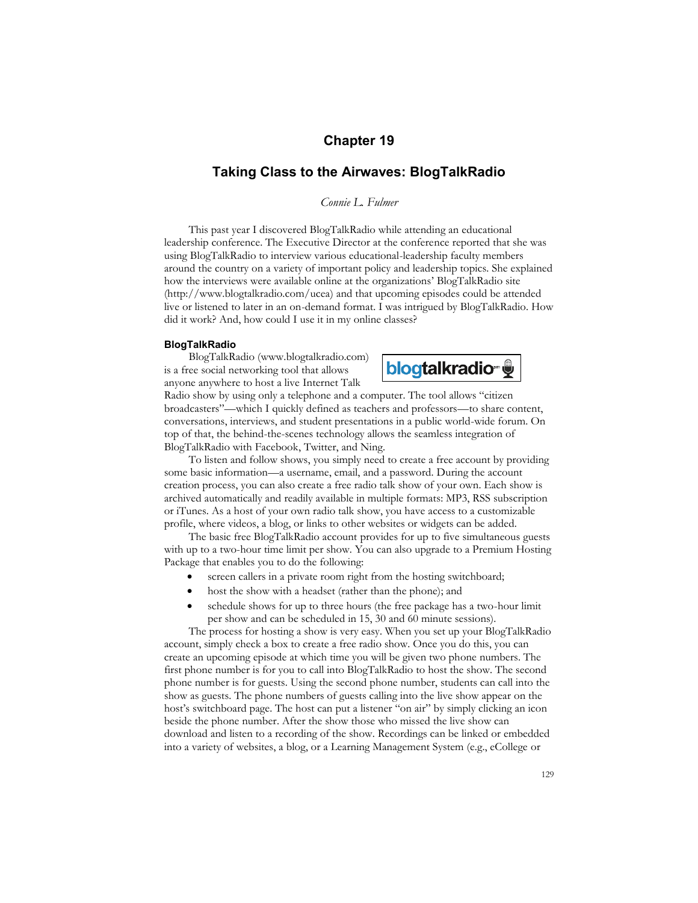# **Chapter 19**

# **Taking Class to the Airwaves: BlogTalkRadio**

*Connie L. Fulmer* 

This past year I discovered BlogTalkRadio while attending an educational leadership conference. The Executive Director at the conference reported that she was using BlogTalkRadio to interview various educational-leadership faculty members around the country on a variety of important policy and leadership topics. She explained how the interviews were available online at the organizations' BlogTalkRadio site (http://www.blogtalkradio.com/ucea) and that upcoming episodes could be attended live or listened to later in an on-demand format. I was intrigued by BlogTalkRadio. How did it work? And, how could I use it in my online classes?

### **BlogTalkRadio**

BlogTalkRadio (www.blogtalkradio.com) is a free social networking tool that allows anyone anywhere to host a live Internet Talk



Radio show by using only a telephone and a computer. The tool allows "citizen broadcasters"—which I quickly defined as teachers and professors—to share content, conversations, interviews, and student presentations in a public world-wide forum. On top of that, the behind-the-scenes technology allows the seamless integration of BlogTalkRadio with Facebook, Twitter, and Ning.

To listen and follow shows, you simply need to create a free account by providing some basic information—a username, email, and a password. During the account creation process, you can also create a free radio talk show of your own. Each show is archived automatically and readily available in multiple formats: MP3, RSS subscription or iTunes. As a host of your own radio talk show, you have access to a customizable profile, where videos, a blog, or links to other websites or widgets can be added.

The basic free BlogTalkRadio account provides for up to five simultaneous guests with up to a two-hour time limit per show. You can also upgrade to a Premium Hosting Package that enables you to do the following:

- screen callers in a private room right from the hosting switchboard;
- host the show with a headset (rather than the phone); and
- schedule shows for up to three hours (the free package has a two-hour limit per show and can be scheduled in 15, 30 and 60 minute sessions).

The process for hosting a show is very easy. When you set up your BlogTalkRadio account, simply check a box to create a free radio show. Once you do this, you can create an upcoming episode at which time you will be given two phone numbers. The first phone number is for you to call into BlogTalkRadio to host the show. The second phone number is for guests. Using the second phone number, students can call into the show as guests. The phone numbers of guests calling into the live show appear on the host's switchboard page. The host can put a listener "on air" by simply clicking an icon beside the phone number. After the show those who missed the live show can download and listen to a recording of the show. Recordings can be linked or embedded into a variety of websites, a blog, or a Learning Management System (e.g., eCollege or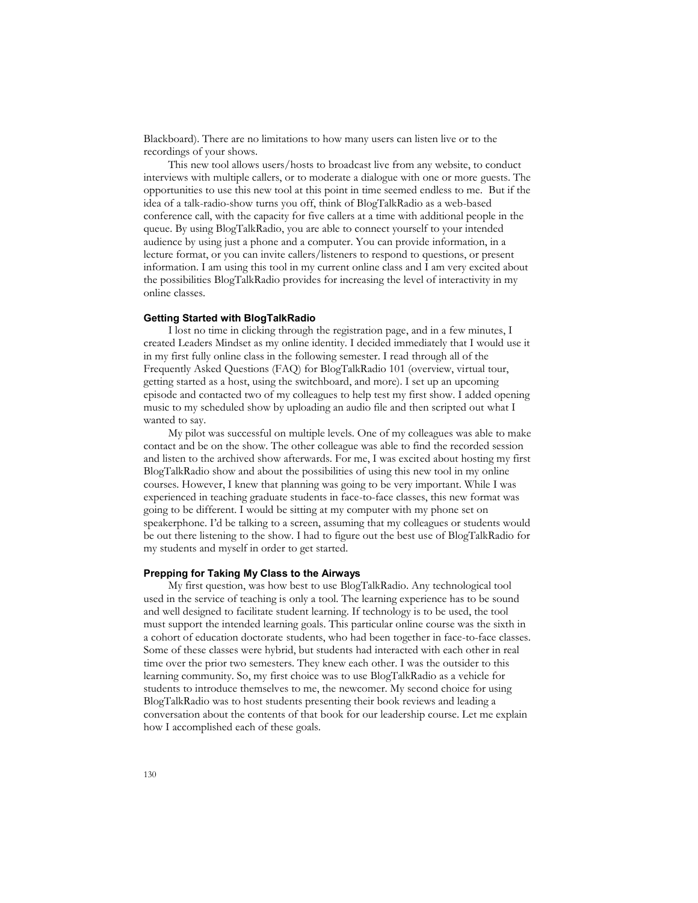Blackboard). There are no limitations to how many users can listen live or to the recordings of your shows.

This new tool allows users/hosts to broadcast live from any website, to conduct interviews with multiple callers, or to moderate a dialogue with one or more guests. The opportunities to use this new tool at this point in time seemed endless to me. But if the idea of a talk-radio-show turns you off, think of BlogTalkRadio as a web-based conference call, with the capacity for five callers at a time with additional people in the queue. By using BlogTalkRadio, you are able to connect yourself to your intended audience by using just a phone and a computer. You can provide information, in a lecture format, or you can invite callers/listeners to respond to questions, or present information. I am using this tool in my current online class and I am very excited about the possibilities BlogTalkRadio provides for increasing the level of interactivity in my online classes.

## **Getting Started with BlogTalkRadio**

I lost no time in clicking through the registration page, and in a few minutes, I created Leaders Mindset as my online identity. I decided immediately that I would use it in my first fully online class in the following semester. I read through all of the Frequently Asked Questions (FAQ) for BlogTalkRadio 101 (overview, virtual tour, getting started as a host, using the switchboard, and more). I set up an upcoming episode and contacted two of my colleagues to help test my first show. I added opening music to my scheduled show by uploading an audio file and then scripted out what I wanted to say.

My pilot was successful on multiple levels. One of my colleagues was able to make contact and be on the show. The other colleague was able to find the recorded session and listen to the archived show afterwards. For me, I was excited about hosting my first BlogTalkRadio show and about the possibilities of using this new tool in my online courses. However, I knew that planning was going to be very important. While I was experienced in teaching graduate students in face-to-face classes, this new format was going to be different. I would be sitting at my computer with my phone set on speakerphone. I'd be talking to a screen, assuming that my colleagues or students would be out there listening to the show. I had to figure out the best use of BlogTalkRadio for my students and myself in order to get started.

#### **Prepping for Taking My Class to the Airways**

My first question, was how best to use BlogTalkRadio. Any technological tool used in the service of teaching is only a tool. The learning experience has to be sound and well designed to facilitate student learning. If technology is to be used, the tool must support the intended learning goals. This particular online course was the sixth in a cohort of education doctorate students, who had been together in face-to-face classes. Some of these classes were hybrid, but students had interacted with each other in real time over the prior two semesters. They knew each other. I was the outsider to this learning community. So, my first choice was to use BlogTalkRadio as a vehicle for students to introduce themselves to me, the newcomer. My second choice for using BlogTalkRadio was to host students presenting their book reviews and leading a conversation about the contents of that book for our leadership course. Let me explain how I accomplished each of these goals.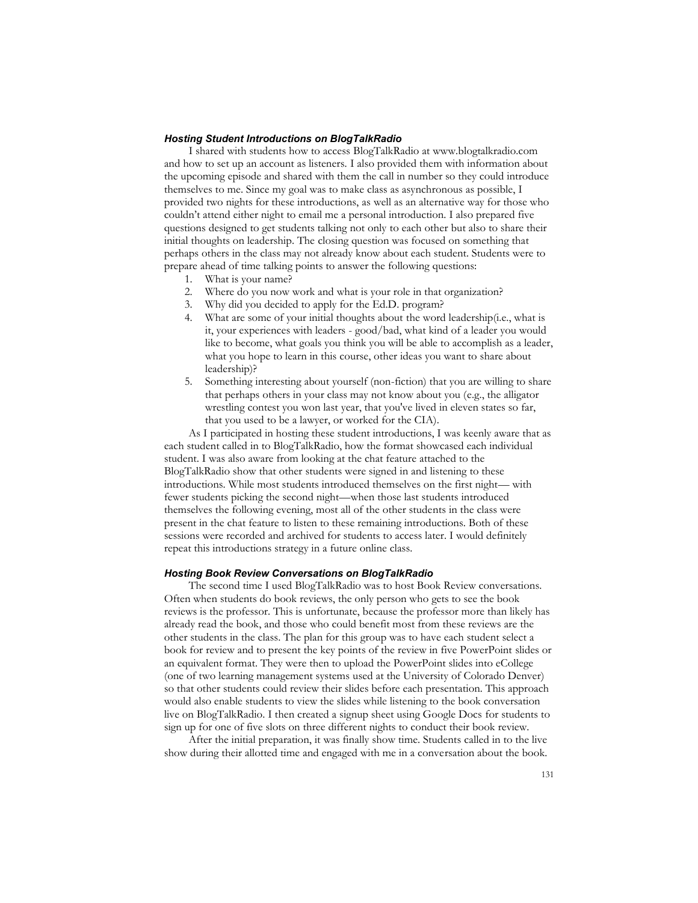## *Hosting Student Introductions on BlogTalkRadio*

I shared with students how to access BlogTalkRadio at www.blogtalkradio.com and how to set up an account as listeners. I also provided them with information about the upcoming episode and shared with them the call in number so they could introduce themselves to me. Since my goal was to make class as asynchronous as possible, I provided two nights for these introductions, as well as an alternative way for those who couldn't attend either night to email me a personal introduction. I also prepared five questions designed to get students talking not only to each other but also to share their initial thoughts on leadership. The closing question was focused on something that perhaps others in the class may not already know about each student. Students were to prepare ahead of time talking points to answer the following questions:

- 1. What is your name?
- 2. Where do you now work and what is your role in that organization?
- 3. Why did you decided to apply for the Ed.D. program?
- 4. What are some of your initial thoughts about the word leadership(i.e., what is it, your experiences with leaders - good/bad, what kind of a leader you would like to become, what goals you think you will be able to accomplish as a leader, what you hope to learn in this course, other ideas you want to share about leadership)?
- 5. Something interesting about yourself (non-fiction) that you are willing to share that perhaps others in your class may not know about you (e.g., the alligator wrestling contest you won last year, that you've lived in eleven states so far, that you used to be a lawyer, or worked for the CIA).

As I participated in hosting these student introductions, I was keenly aware that as each student called in to BlogTalkRadio, how the format showcased each individual student. I was also aware from looking at the chat feature attached to the BlogTalkRadio show that other students were signed in and listening to these introductions. While most students introduced themselves on the first night— with fewer students picking the second night—when those last students introduced themselves the following evening, most all of the other students in the class were present in the chat feature to listen to these remaining introductions. Both of these sessions were recorded and archived for students to access later. I would definitely repeat this introductions strategy in a future online class.

#### *Hosting Book Review Conversations on BlogTalkRadio*

The second time I used BlogTalkRadio was to host Book Review conversations. Often when students do book reviews, the only person who gets to see the book reviews is the professor. This is unfortunate, because the professor more than likely has already read the book, and those who could benefit most from these reviews are the other students in the class. The plan for this group was to have each student select a book for review and to present the key points of the review in five PowerPoint slides or an equivalent format. They were then to upload the PowerPoint slides into eCollege (one of two learning management systems used at the University of Colorado Denver) so that other students could review their slides before each presentation. This approach would also enable students to view the slides while listening to the book conversation live on BlogTalkRadio. I then created a signup sheet using Google Docs for students to sign up for one of five slots on three different nights to conduct their book review.

After the initial preparation, it was finally show time. Students called in to the live show during their allotted time and engaged with me in a conversation about the book.